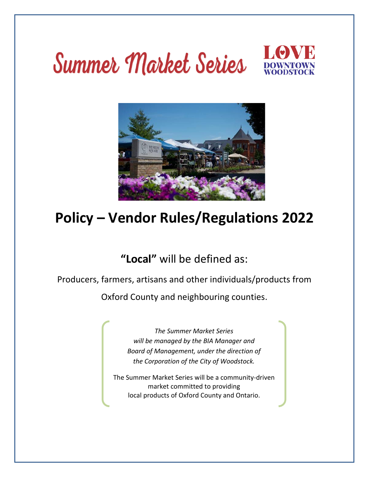# Summer Market Series



# **Policy – Vendor Rules/Regulations 2022**

## **"Local"** will be defined as:

Producers, farmers, artisans and other individuals/products from

Oxford County and neighbouring counties.

*The Summer Market Series will be managed by the BIA Manager and Board of Management, under the direction of the Corporation of the City of Woodstock.*

The Summer Market Series will be a community-driven market committed to providing local products of Oxford County and Ontario.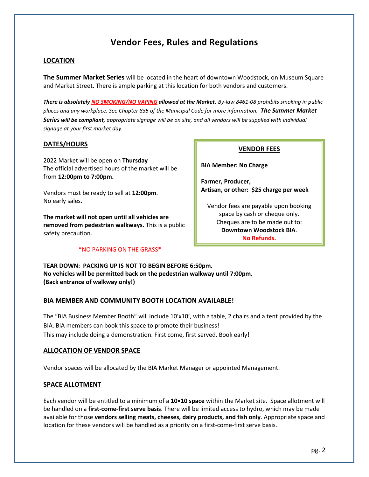### **Vendor Fees, Rules and Regulations**

#### **LOCATION**

**The Summer Market Series** will be located in the heart of downtown Woodstock, on Museum Square and Market Street. There is ample parking at this location for both vendors and customers.

*There is absolutely NO SMOKING/NO VAPING allowed at the Market. By-law 8461-08 prohibits smoking in public places and any workplace. See Chapter 835 of the Municipal Code for more information. The Summer Market Series will be compliant, appropriate signage will be on site, and all vendors will be supplied with individual signage at your first market day.*

#### **DATES/HOURS**

2022 Market will be open on **Thursday** The official advertised hours of the market will be from **12:00pm to 7:00pm.**

Vendors must be ready to sell at **12:00pm**. No early sales.

**The market will not open until all vehicles are removed from pedestrian walkways.** This is a public safety precaution.

#### \*NO PARKING ON THE GRASS\*

#### **VENDOR FEES**

**BIA Member: No Charge**

**Farmer, Producer, Artisan, or other: \$25 charge per week**

Vendor fees are payable upon booking space by cash or cheque only. Cheques are to be made out to: **Downtown Woodstock BIA**. **No Refunds.**

**TEAR DOWN: PACKING UP IS NOT TO BEGIN BEFORE 6:50pm. No vehicles will be permitted back on the pedestrian walkway until 7:00pm. (Back entrance of walkway only!)**

#### **BIA MEMBER AND COMMUNITY BOOTH LOCATION AVAILABLE!**

The "BIA Business Member Booth" will include 10'x10', with a table, 2 chairs and a tent provided by the BIA. BIA members can book this space to promote their business! This may include doing a demonstration. First come, first served. Book early!

#### **ALLOCATION OF VENDOR SPACE**

Vendor spaces will be allocated by the BIA Market Manager or appointed Management.

#### **SPACE ALLOTMENT**

Each vendor will be entitled to a minimum of a **10×10 space** within the Market site. Space allotment will be handled on a **first-come-first serve basis**. There will be limited access to hydro, which may be made available for those **vendors selling meats, cheeses, dairy products, and fish only**. Appropriate space and location for these vendors will be handled as a priority on a first-come-first serve basis.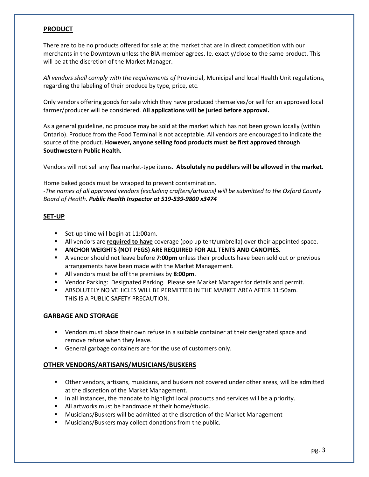#### **PRODUCT**

There are to be no products offered for sale at the market that are in direct competition with our merchants in the Downtown unless the BIA member agrees. Ie. exactly/close to the same product. This will be at the discretion of the Market Manager.

*All vendors shall comply with the requirements of* Provincial, Municipal and local Health Unit regulations, regarding the labeling of their produce by type, price, etc.

Only vendors offering goods for sale which they have produced themselves/or sell for an approved local farmer/producer will be considered. **All applications will be juried before approval.**

As a general guideline, no produce may be sold at the market which has not been grown locally (within Ontario). Produce from the Food Terminal is not acceptable. All vendors are encouraged to indicate the source of the product. **However, anyone selling food products must be first approved through Southwestern Public Health.**

Vendors will not sell any flea market-type items. **Absolutely no peddlers will be allowed in the market.**

Home baked goods must be wrapped to prevent contamination. -*The names of all approved vendors (excluding crafters/artisans) will be submitted to the Oxford County Board of Health. Public Health Inspector at 519-539-9800 x3474* 

#### **SET-UP**

- Set-up time will begin at 11:00am.
- All vendors are **required to have** coverage (pop up tent/umbrella) over their appointed space.
- **ANCHOR WEIGHTS (NOT PEGS) ARE REQUIRED FOR ALL TENTS AND CANOPIES.**
- A vendor should not leave before 7:00pm unless their products have been sold out or previous arrangements have been made with the Market Management.
- All vendors must be off the premises by **8:00pm**.
- **■** Vendor Parking: Designated Parking. Please see Market Manager for details and permit.
- **E** ABSOLUTELY NO VEHICLES WILL BE PERMITTED IN THE MARKET AREA AFTER 11:50am. THIS IS A PUBLIC SAFETY PRECAUTION.

#### **GARBAGE AND STORAGE**

- Vendors must place their own refuse in a suitable container at their designated space and remove refuse when they leave.
- General garbage containers are for the use of customers only.

#### **OTHER VENDORS/ARTISANS/MUSICIANS/BUSKERS**

- Other vendors, artisans, musicians, and buskers not covered under other areas, will be admitted at the discretion of the Market Management.
- In all instances, the mandate to highlight local products and services will be a priority.
- All artworks must be handmade at their home/studio.
- Musicians/Buskers will be admitted at the discretion of the Market Management
- Musicians/Buskers may collect donations from the public.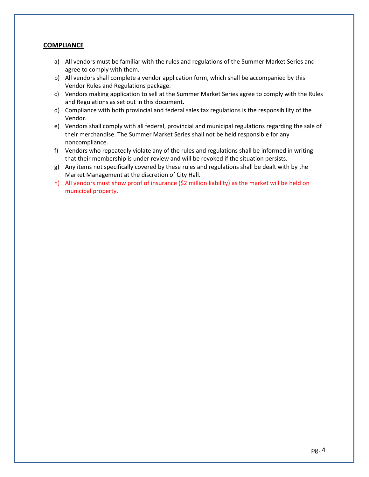#### **COMPLIANCE**

- a) All vendors must be familiar with the rules and regulations of the Summer Market Series and agree to comply with them.
- b) All vendors shall complete a vendor application form, which shall be accompanied by this Vendor Rules and Regulations package.
- c) Vendors making application to sell at the Summer Market Series agree to comply with the Rules and Regulations as set out in this document.
- d) Compliance with both provincial and federal sales tax regulations is the responsibility of the Vendor.
- e) Vendors shall comply with all federal, provincial and municipal regulations regarding the sale of their merchandise. The Summer Market Series shall not be held responsible for any noncompliance.
- f) Vendors who repeatedly violate any of the rules and regulations shall be informed in writing that their membership is under review and will be revoked if the situation persists.
- g) Any items not specifically covered by these rules and regulations shall be dealt with by the Market Management at the discretion of City Hall.
- h) All vendors must show proof of insurance (\$2 million liability) as the market will be held on municipal property.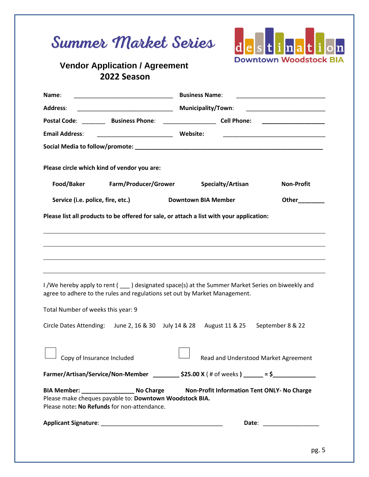| Name:                                                                                                                                                                                                                                                                                                                                                                                                                                                                                                                                                                                                                                                          |                      | <b>Business Name:</b>                                                            |                   |                                                                                                                           |
|----------------------------------------------------------------------------------------------------------------------------------------------------------------------------------------------------------------------------------------------------------------------------------------------------------------------------------------------------------------------------------------------------------------------------------------------------------------------------------------------------------------------------------------------------------------------------------------------------------------------------------------------------------------|----------------------|----------------------------------------------------------------------------------|-------------------|---------------------------------------------------------------------------------------------------------------------------|
| <b>Address:</b>                                                                                                                                                                                                                                                                                                                                                                                                                                                                                                                                                                                                                                                |                      | <b>Municipality/Town:</b>                                                        |                   | <u> 2002 - Jan James James Jan James James James James James James James James James James James James James James Ja</u> |
| Postal Code: ___________ Business Phone: ________________________ Cell Phone: _____________________                                                                                                                                                                                                                                                                                                                                                                                                                                                                                                                                                            |                      |                                                                                  |                   |                                                                                                                           |
| <b>Email Address:</b>                                                                                                                                                                                                                                                                                                                                                                                                                                                                                                                                                                                                                                          |                      |                                                                                  |                   |                                                                                                                           |
|                                                                                                                                                                                                                                                                                                                                                                                                                                                                                                                                                                                                                                                                |                      |                                                                                  |                   |                                                                                                                           |
| Please circle which kind of vendor you are:                                                                                                                                                                                                                                                                                                                                                                                                                                                                                                                                                                                                                    |                      |                                                                                  |                   |                                                                                                                           |
| Food/Baker                                                                                                                                                                                                                                                                                                                                                                                                                                                                                                                                                                                                                                                     | Farm/Producer/Grower |                                                                                  | Specialty/Artisan | <b>Non-Profit</b>                                                                                                         |
| Service (i.e. police, fire, etc.)                                                                                                                                                                                                                                                                                                                                                                                                                                                                                                                                                                                                                              |                      | <b>Downtown BIA Member</b>                                                       |                   | Other_________                                                                                                            |
|                                                                                                                                                                                                                                                                                                                                                                                                                                                                                                                                                                                                                                                                |                      | ,我们也不会有什么。""我们的人,我们也不会有什么?""我们的人,我们也不会有什么?""我们的人,我们也不会有什么?""我们的人,我们也不会有什么?""我们的人 |                   |                                                                                                                           |
|                                                                                                                                                                                                                                                                                                                                                                                                                                                                                                                                                                                                                                                                |                      |                                                                                  |                   |                                                                                                                           |
|                                                                                                                                                                                                                                                                                                                                                                                                                                                                                                                                                                                                                                                                |                      |                                                                                  |                   |                                                                                                                           |
|                                                                                                                                                                                                                                                                                                                                                                                                                                                                                                                                                                                                                                                                |                      | June 2, 16 & 30 July 14 & 28 August 11 & 25                                      |                   | September 8 & 22                                                                                                          |
| Copy of Insurance Included                                                                                                                                                                                                                                                                                                                                                                                                                                                                                                                                                                                                                                     |                      |                                                                                  |                   | Read and Understood Market Agreement                                                                                      |
|                                                                                                                                                                                                                                                                                                                                                                                                                                                                                                                                                                                                                                                                |                      |                                                                                  |                   |                                                                                                                           |
| Please list all products to be offered for sale, or attach a list with your application:<br>I /We hereby apply to rent ( ighthare designated space(s) at the Summer Market Series on biweekly and<br>agree to adhere to the rules and regulations set out by Market Management.<br>Total Number of weeks this year: 9<br><b>Circle Dates Attending:</b><br>Farmer/Artisan/Service/Non-Member __________ \$25.00 X (# of weeks) _____ = \$____________<br>BIA Member: _________________________ No Charge Mon-Profit Information Tent ONLY- No Charge<br>Please make cheques payable to: Downtown Woodstock BIA.<br>Please note: No Refunds for non-attendance. |                      |                                                                                  |                   |                                                                                                                           |